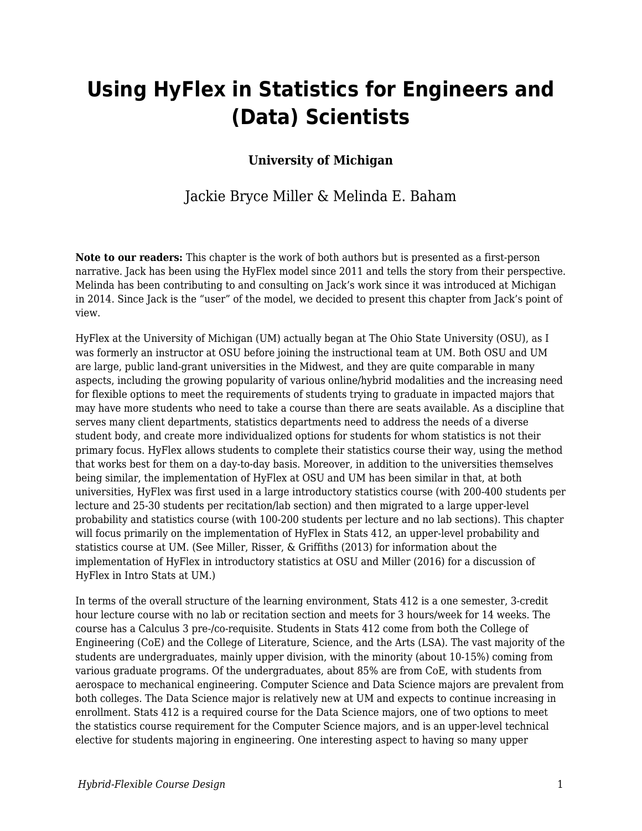# **Using HyFlex in Statistics for Engineers and (Data) Scientists**

### **University of Michigan**

### Jackie Bryce Miller & Melinda E. Baham

**Note to our readers:** This chapter is the work of both authors but is presented as a first-person narrative. Jack has been using the HyFlex model since 2011 and tells the story from their perspective. Melinda has been contributing to and consulting on Jack's work since it was introduced at Michigan in 2014. Since Jack is the "user" of the model, we decided to present this chapter from Jack's point of view.

HyFlex at the University of Michigan (UM) actually began at The Ohio State University (OSU), as I was formerly an instructor at OSU before joining the instructional team at UM. Both OSU and UM are large, public land-grant universities in the Midwest, and they are quite comparable in many aspects, including the growing popularity of various online/hybrid modalities and the increasing need for flexible options to meet the requirements of students trying to graduate in impacted majors that may have more students who need to take a course than there are seats available. As a discipline that serves many client departments, statistics departments need to address the needs of a diverse student body, and create more individualized options for students for whom statistics is not their primary focus. HyFlex allows students to complete their statistics course their way, using the method that works best for them on a day-to-day basis. Moreover, in addition to the universities themselves being similar, the implementation of HyFlex at OSU and UM has been similar in that, at both universities, HyFlex was first used in a large introductory statistics course (with 200-400 students per lecture and 25-30 students per recitation/lab section) and then migrated to a large upper-level probability and statistics course (with 100-200 students per lecture and no lab sections). This chapter will focus primarily on the implementation of HyFlex in Stats 412, an upper-level probability and statistics course at UM. (See Miller, Risser, & Griffiths (2013) for information about the implementation of HyFlex in introductory statistics at OSU and Miller (2016) for a discussion of HyFlex in Intro Stats at UM.)

In terms of the overall structure of the learning environment, Stats 412 is a one semester, 3-credit hour lecture course with no lab or recitation section and meets for 3 hours/week for 14 weeks. The course has a Calculus 3 pre-/co-requisite. Students in Stats 412 come from both the College of Engineering (CoE) and the College of Literature, Science, and the Arts (LSA). The vast majority of the students are undergraduates, mainly upper division, with the minority (about 10-15%) coming from various graduate programs. Of the undergraduates, about 85% are from CoE, with students from aerospace to mechanical engineering. Computer Science and Data Science majors are prevalent from both colleges. The Data Science major is relatively new at UM and expects to continue increasing in enrollment. Stats 412 is a required course for the Data Science majors, one of two options to meet the statistics course requirement for the Computer Science majors, and is an upper-level technical elective for students majoring in engineering. One interesting aspect to having so many upper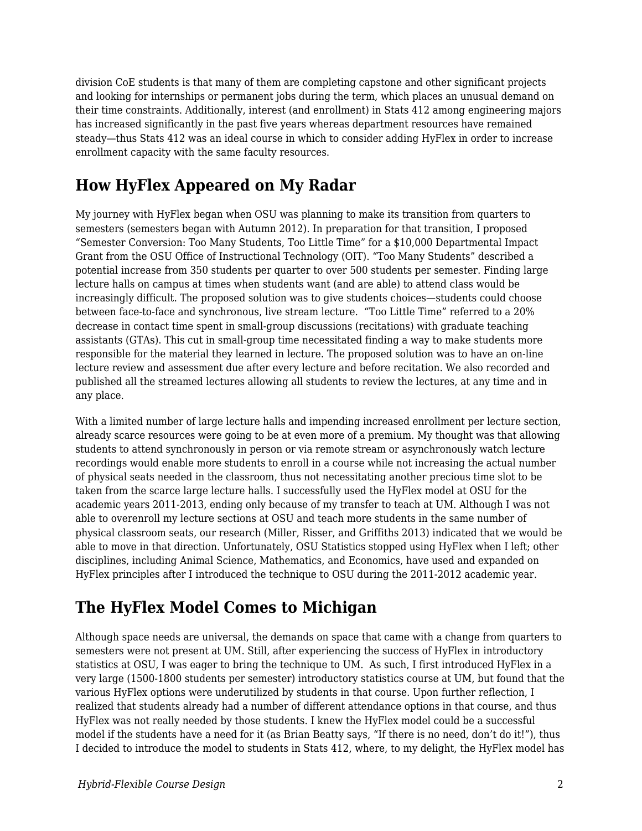division CoE students is that many of them are completing capstone and other significant projects and looking for internships or permanent jobs during the term, which places an unusual demand on their time constraints. Additionally, interest (and enrollment) in Stats 412 among engineering majors has increased significantly in the past five years whereas department resources have remained steady—thus Stats 412 was an ideal course in which to consider adding HyFlex in order to increase enrollment capacity with the same faculty resources.

# **How HyFlex Appeared on My Radar**

My journey with HyFlex began when OSU was planning to make its transition from quarters to semesters (semesters began with Autumn 2012). In preparation for that transition, I proposed "Semester Conversion: Too Many Students, Too Little Time" for a \$10,000 Departmental Impact Grant from the OSU Office of Instructional Technology (OIT). "Too Many Students" described a potential increase from 350 students per quarter to over 500 students per semester. Finding large lecture halls on campus at times when students want (and are able) to attend class would be increasingly difficult. The proposed solution was to give students choices—students could choose between face-to-face and synchronous, live stream lecture. "Too Little Time" referred to a 20% decrease in contact time spent in small-group discussions (recitations) with graduate teaching assistants (GTAs). This cut in small-group time necessitated finding a way to make students more responsible for the material they learned in lecture. The proposed solution was to have an on-line lecture review and assessment due after every lecture and before recitation. We also recorded and published all the streamed lectures allowing all students to review the lectures, at any time and in any place.

With a limited number of large lecture halls and impending increased enrollment per lecture section, already scarce resources were going to be at even more of a premium. My thought was that allowing students to attend synchronously in person or via remote stream or asynchronously watch lecture recordings would enable more students to enroll in a course while not increasing the actual number of physical seats needed in the classroom, thus not necessitating another precious time slot to be taken from the scarce large lecture halls. I successfully used the HyFlex model at OSU for the academic years 2011-2013, ending only because of my transfer to teach at UM. Although I was not able to overenroll my lecture sections at OSU and teach more students in the same number of physical classroom seats, our research (Miller, Risser, and Griffiths 2013) indicated that we would be able to move in that direction. Unfortunately, OSU Statistics stopped using HyFlex when I left; other disciplines, including Animal Science, Mathematics, and Economics, have used and expanded on HyFlex principles after I introduced the technique to OSU during the 2011-2012 academic year.

### **The HyFlex Model Comes to Michigan**

Although space needs are universal, the demands on space that came with a change from quarters to semesters were not present at UM. Still, after experiencing the success of HyFlex in introductory statistics at OSU, I was eager to bring the technique to UM. As such, I first introduced HyFlex in a very large (1500-1800 students per semester) introductory statistics course at UM, but found that the various HyFlex options were underutilized by students in that course. Upon further reflection, I realized that students already had a number of different attendance options in that course, and thus HyFlex was not really needed by those students. I knew the HyFlex model could be a successful model if the students have a need for it (as Brian Beatty says, "If there is no need, don't do it!"), thus I decided to introduce the model to students in Stats 412, where, to my delight, the HyFlex model has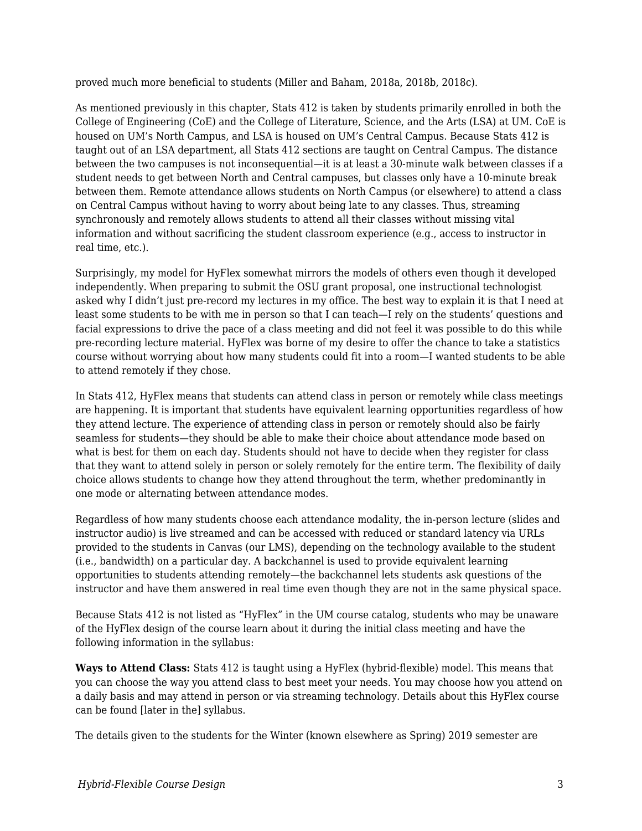proved much more beneficial to students (Miller and Baham, 2018a, 2018b, 2018c).

As mentioned previously in this chapter, Stats 412 is taken by students primarily enrolled in both the College of Engineering (CoE) and the College of Literature, Science, and the Arts (LSA) at UM. CoE is housed on UM's North Campus, and LSA is housed on UM's Central Campus. Because Stats 412 is taught out of an LSA department, all Stats 412 sections are taught on Central Campus. The distance between the two campuses is not inconsequential—it is at least a 30-minute walk between classes if a student needs to get between North and Central campuses, but classes only have a 10-minute break between them. Remote attendance allows students on North Campus (or elsewhere) to attend a class on Central Campus without having to worry about being late to any classes. Thus, streaming synchronously and remotely allows students to attend all their classes without missing vital information and without sacrificing the student classroom experience (e.g., access to instructor in real time, etc.).

Surprisingly, my model for HyFlex somewhat mirrors the models of others even though it developed independently. When preparing to submit the OSU grant proposal, one instructional technologist asked why I didn't just pre-record my lectures in my office. The best way to explain it is that I need at least some students to be with me in person so that I can teach—I rely on the students' questions and facial expressions to drive the pace of a class meeting and did not feel it was possible to do this while pre-recording lecture material. HyFlex was borne of my desire to offer the chance to take a statistics course without worrying about how many students could fit into a room—I wanted students to be able to attend remotely if they chose.

In Stats 412, HyFlex means that students can attend class in person or remotely while class meetings are happening. It is important that students have equivalent learning opportunities regardless of how they attend lecture. The experience of attending class in person or remotely should also be fairly seamless for students—they should be able to make their choice about attendance mode based on what is best for them on each day. Students should not have to decide when they register for class that they want to attend solely in person or solely remotely for the entire term. The flexibility of daily choice allows students to change how they attend throughout the term, whether predominantly in one mode or alternating between attendance modes.

Regardless of how many students choose each attendance modality, the in-person lecture (slides and instructor audio) is live streamed and can be accessed with reduced or standard latency via URLs provided to the students in Canvas (our LMS), depending on the technology available to the student (i.e., bandwidth) on a particular day. A backchannel is used to provide equivalent learning opportunities to students attending remotely—the backchannel lets students ask questions of the instructor and have them answered in real time even though they are not in the same physical space.

Because Stats 412 is not listed as "HyFlex" in the UM course catalog, students who may be unaware of the HyFlex design of the course learn about it during the initial class meeting and have the following information in the syllabus:

**Ways to Attend Class:** Stats 412 is taught using a HyFlex (hybrid-flexible) model. This means that you can choose the way you attend class to best meet your needs. You may choose how you attend on a daily basis and may attend in person or via streaming technology. Details about this HyFlex course can be found [later in the] syllabus.

The details given to the students for the Winter (known elsewhere as Spring) 2019 semester are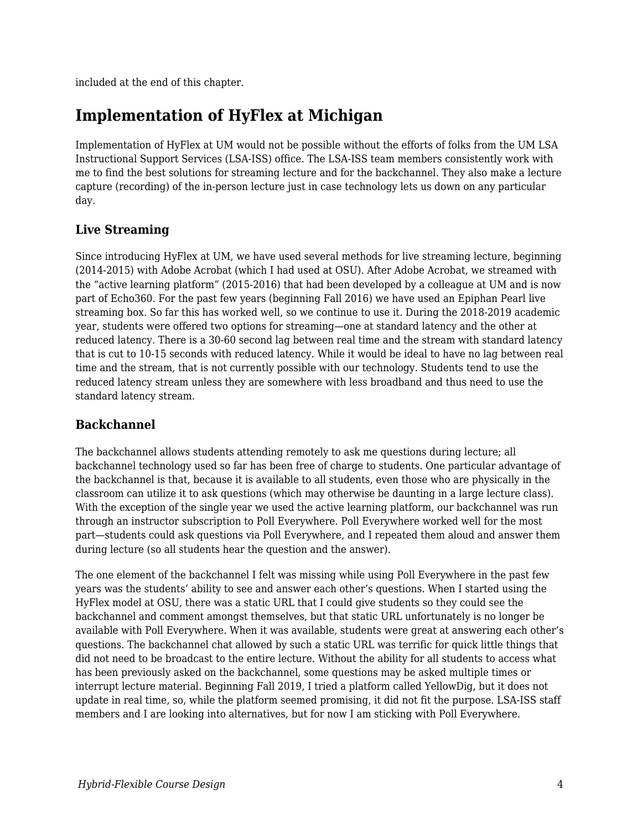included at the end of this chapter.

### **Implementation of HyFlex at Michigan**

Implementation of HyFlex at UM would not be possible without the efforts of folks from the UM LSA Instructional Support Services (LSA-ISS) office. The LSA-ISS team members consistently work with me to find the best solutions for streaming lecture and for the backchannel. They also make a lecture capture (recording) of the in-person lecture just in case technology lets us down on any particular day.

#### **Live Streaming**

Since introducing HyFlex at UM, we have used several methods for live streaming lecture, beginning (2014-2015) with Adobe Acrobat (which I had used at OSU). After Adobe Acrobat, we streamed with the "active learning platform" (2015-2016) that had been developed by a colleague at UM and is now part of Echo360. For the past few years (beginning Fall 2016) we have used an Epiphan Pearl live streaming box. So far this has worked well, so we continue to use it. During the 2018-2019 academic year, students were offered two options for streaming—one at standard latency and the other at reduced latency. There is a 30-60 second lag between real time and the stream with standard latency that is cut to 10-15 seconds with reduced latency. While it would be ideal to have no lag between real time and the stream, that is not currently possible with our technology. Students tend to use the reduced latency stream unless they are somewhere with less broadband and thus need to use the standard latency stream.

#### **Backchannel**

The backchannel allows students attending remotely to ask me questions during lecture; all backchannel technology used so far has been free of charge to students. One particular advantage of the backchannel is that, because it is available to all students, even those who are physically in the classroom can utilize it to ask questions (which may otherwise be daunting in a large lecture class). With the exception of the single year we used the active learning platform, our backchannel was run through an instructor subscription to Poll Everywhere. Poll Everywhere worked well for the most part—students could ask questions via Poll Everywhere, and I repeated them aloud and answer them during lecture (so all students hear the question and the answer).

The one element of the backchannel I felt was missing while using Poll Everywhere in the past few years was the students' ability to see and answer each other's questions. When I started using the HyFlex model at OSU, there was a static URL that I could give students so they could see the backchannel and comment amongst themselves, but that static URL unfortunately is no longer be available with Poll Everywhere. When it was available, students were great at answering each other's questions. The backchannel chat allowed by such a static URL was terrific for quick little things that did not need to be broadcast to the entire lecture. Without the ability for all students to access what has been previously asked on the backchannel, some questions may be asked multiple times or interrupt lecture material. Beginning Fall 2019, I tried a platform called YellowDig, but it does not update in real time, so, while the platform seemed promising, it did not fit the purpose. LSA-ISS staff members and I are looking into alternatives, but for now I am sticking with Poll Everywhere.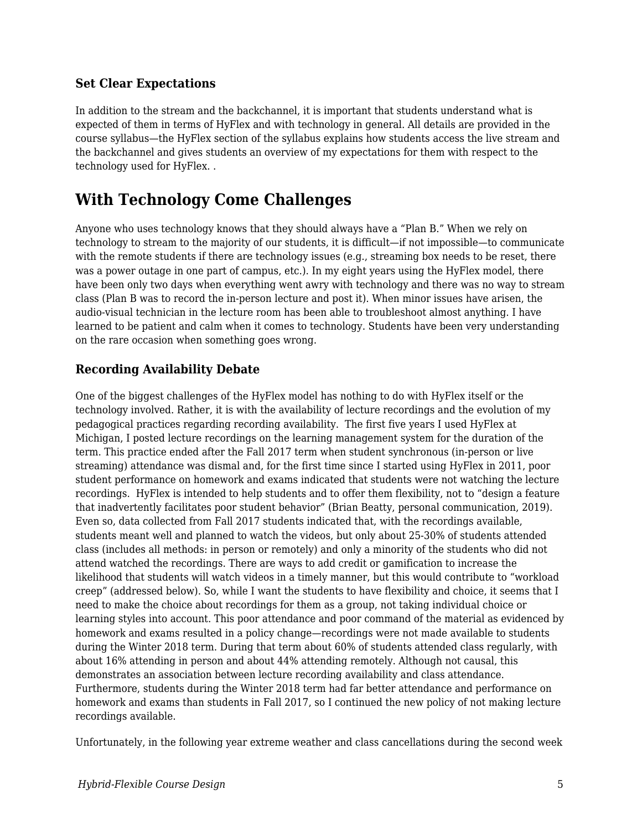#### **Set Clear Expectations**

In addition to the stream and the backchannel, it is important that students understand what is expected of them in terms of HyFlex and with technology in general. All details are provided in the course syllabus—the HyFlex section of the syllabus explains how students access the live stream and the backchannel and gives students an overview of my expectations for them with respect to the technology used for HyFlex. .

### **With Technology Come Challenges**

Anyone who uses technology knows that they should always have a "Plan B." When we rely on technology to stream to the majority of our students, it is difficult—if not impossible—to communicate with the remote students if there are technology issues (e.g., streaming box needs to be reset, there was a power outage in one part of campus, etc.). In my eight years using the HyFlex model, there have been only two days when everything went awry with technology and there was no way to stream class (Plan B was to record the in-person lecture and post it). When minor issues have arisen, the audio-visual technician in the lecture room has been able to troubleshoot almost anything. I have learned to be patient and calm when it comes to technology. Students have been very understanding on the rare occasion when something goes wrong.

#### **Recording Availability Debate**

One of the biggest challenges of the HyFlex model has nothing to do with HyFlex itself or the technology involved. Rather, it is with the availability of lecture recordings and the evolution of my pedagogical practices regarding recording availability. The first five years I used HyFlex at Michigan, I posted lecture recordings on the learning management system for the duration of the term. This practice ended after the Fall 2017 term when student synchronous (in-person or live streaming) attendance was dismal and, for the first time since I started using HyFlex in 2011, poor student performance on homework and exams indicated that students were not watching the lecture recordings. HyFlex is intended to help students and to offer them flexibility, not to "design a feature that inadvertently facilitates poor student behavior" (Brian Beatty, personal communication, 2019). Even so, data collected from Fall 2017 students indicated that, with the recordings available, students meant well and planned to watch the videos, but only about 25-30% of students attended class (includes all methods: in person or remotely) and only a minority of the students who did not attend watched the recordings. There are ways to add credit or gamification to increase the likelihood that students will watch videos in a timely manner, but this would contribute to "workload creep" (addressed below). So, while I want the students to have flexibility and choice, it seems that I need to make the choice about recordings for them as a group, not taking individual choice or learning styles into account. This poor attendance and poor command of the material as evidenced by homework and exams resulted in a policy change—recordings were not made available to students during the Winter 2018 term. During that term about 60% of students attended class regularly, with about 16% attending in person and about 44% attending remotely. Although not causal, this demonstrates an association between lecture recording availability and class attendance. Furthermore, students during the Winter 2018 term had far better attendance and performance on homework and exams than students in Fall 2017, so I continued the new policy of not making lecture recordings available.

Unfortunately, in the following year extreme weather and class cancellations during the second week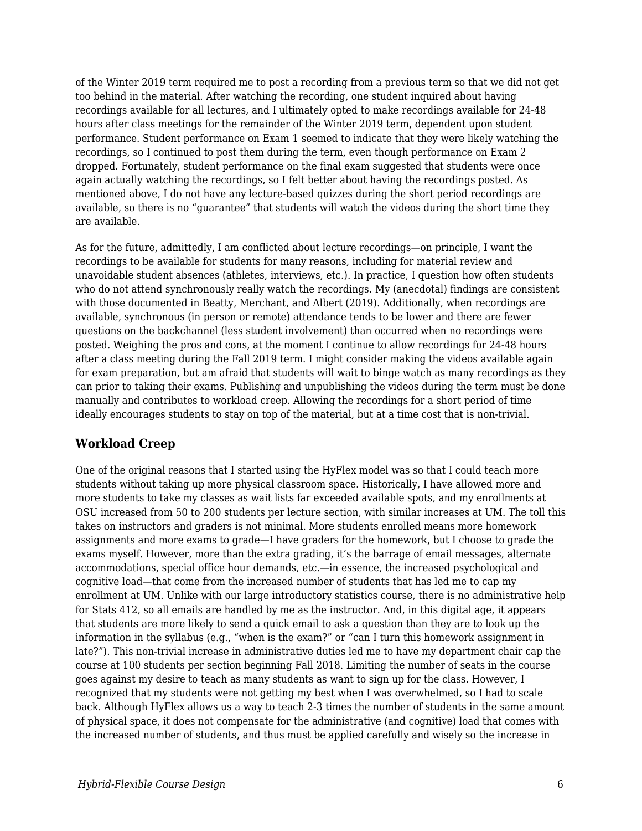of the Winter 2019 term required me to post a recording from a previous term so that we did not get too behind in the material. After watching the recording, one student inquired about having recordings available for all lectures, and I ultimately opted to make recordings available for 24-48 hours after class meetings for the remainder of the Winter 2019 term, dependent upon student performance. Student performance on Exam 1 seemed to indicate that they were likely watching the recordings, so I continued to post them during the term, even though performance on Exam 2 dropped. Fortunately, student performance on the final exam suggested that students were once again actually watching the recordings, so I felt better about having the recordings posted. As mentioned above, I do not have any lecture-based quizzes during the short period recordings are available, so there is no "guarantee" that students will watch the videos during the short time they are available.

As for the future, admittedly, I am conflicted about lecture recordings—on principle, I want the recordings to be available for students for many reasons, including for material review and unavoidable student absences (athletes, interviews, etc.). In practice, I question how often students who do not attend synchronously really watch the recordings. My (anecdotal) findings are consistent with those documented in Beatty, Merchant, and Albert (2019). Additionally, when recordings are available, synchronous (in person or remote) attendance tends to be lower and there are fewer questions on the backchannel (less student involvement) than occurred when no recordings were posted. Weighing the pros and cons, at the moment I continue to allow recordings for 24-48 hours after a class meeting during the Fall 2019 term. I might consider making the videos available again for exam preparation, but am afraid that students will wait to binge watch as many recordings as they can prior to taking their exams. Publishing and unpublishing the videos during the term must be done manually and contributes to workload creep. Allowing the recordings for a short period of time ideally encourages students to stay on top of the material, but at a time cost that is non-trivial.

#### **Workload Creep**

One of the original reasons that I started using the HyFlex model was so that I could teach more students without taking up more physical classroom space. Historically, I have allowed more and more students to take my classes as wait lists far exceeded available spots, and my enrollments at OSU increased from 50 to 200 students per lecture section, with similar increases at UM. The toll this takes on instructors and graders is not minimal. More students enrolled means more homework assignments and more exams to grade—I have graders for the homework, but I choose to grade the exams myself. However, more than the extra grading, it's the barrage of email messages, alternate accommodations, special office hour demands, etc.—in essence, the increased psychological and cognitive load—that come from the increased number of students that has led me to cap my enrollment at UM. Unlike with our large introductory statistics course, there is no administrative help for Stats 412, so all emails are handled by me as the instructor. And, in this digital age, it appears that students are more likely to send a quick email to ask a question than they are to look up the information in the syllabus (e.g., "when is the exam?" or "can I turn this homework assignment in late?"). This non-trivial increase in administrative duties led me to have my department chair cap the course at 100 students per section beginning Fall 2018. Limiting the number of seats in the course goes against my desire to teach as many students as want to sign up for the class. However, I recognized that my students were not getting my best when I was overwhelmed, so I had to scale back. Although HyFlex allows us a way to teach 2-3 times the number of students in the same amount of physical space, it does not compensate for the administrative (and cognitive) load that comes with the increased number of students, and thus must be applied carefully and wisely so the increase in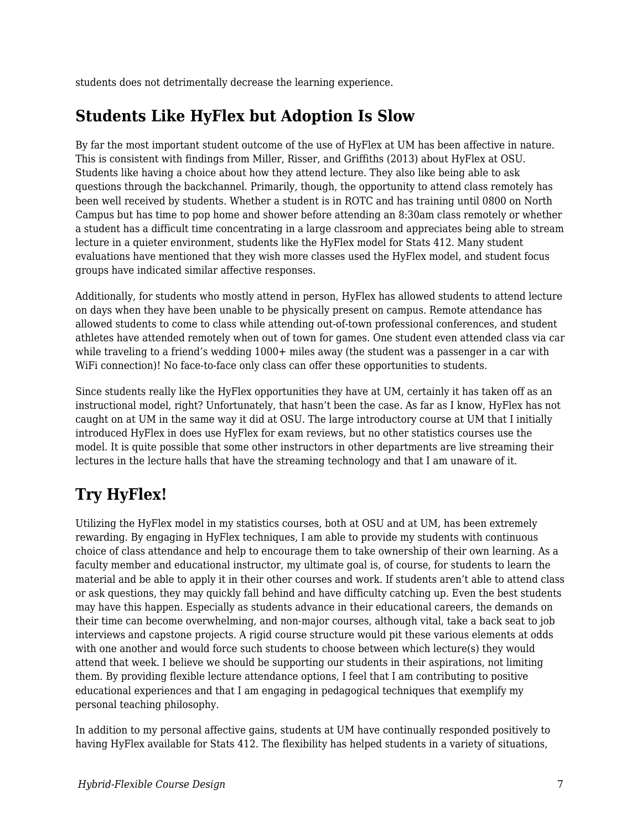students does not detrimentally decrease the learning experience.

### **Students Like HyFlex but Adoption Is Slow**

By far the most important student outcome of the use of HyFlex at UM has been affective in nature. This is consistent with findings from Miller, Risser, and Griffiths (2013) about HyFlex at OSU. Students like having a choice about how they attend lecture. They also like being able to ask questions through the backchannel. Primarily, though, the opportunity to attend class remotely has been well received by students. Whether a student is in ROTC and has training until 0800 on North Campus but has time to pop home and shower before attending an 8:30am class remotely or whether a student has a difficult time concentrating in a large classroom and appreciates being able to stream lecture in a quieter environment, students like the HyFlex model for Stats 412. Many student evaluations have mentioned that they wish more classes used the HyFlex model, and student focus groups have indicated similar affective responses.

Additionally, for students who mostly attend in person, HyFlex has allowed students to attend lecture on days when they have been unable to be physically present on campus. Remote attendance has allowed students to come to class while attending out-of-town professional conferences, and student athletes have attended remotely when out of town for games. One student even attended class via car while traveling to a friend's wedding 1000+ miles away (the student was a passenger in a car with WiFi connection)! No face-to-face only class can offer these opportunities to students.

Since students really like the HyFlex opportunities they have at UM, certainly it has taken off as an instructional model, right? Unfortunately, that hasn't been the case. As far as I know, HyFlex has not caught on at UM in the same way it did at OSU. The large introductory course at UM that I initially introduced HyFlex in does use HyFlex for exam reviews, but no other statistics courses use the model. It is quite possible that some other instructors in other departments are live streaming their lectures in the lecture halls that have the streaming technology and that I am unaware of it.

# **Try HyFlex!**

Utilizing the HyFlex model in my statistics courses, both at OSU and at UM, has been extremely rewarding. By engaging in HyFlex techniques, I am able to provide my students with continuous choice of class attendance and help to encourage them to take ownership of their own learning. As a faculty member and educational instructor, my ultimate goal is, of course, for students to learn the material and be able to apply it in their other courses and work. If students aren't able to attend class or ask questions, they may quickly fall behind and have difficulty catching up. Even the best students may have this happen. Especially as students advance in their educational careers, the demands on their time can become overwhelming, and non-major courses, although vital, take a back seat to job interviews and capstone projects. A rigid course structure would pit these various elements at odds with one another and would force such students to choose between which lecture(s) they would attend that week. I believe we should be supporting our students in their aspirations, not limiting them. By providing flexible lecture attendance options, I feel that I am contributing to positive educational experiences and that I am engaging in pedagogical techniques that exemplify my personal teaching philosophy.

In addition to my personal affective gains, students at UM have continually responded positively to having HyFlex available for Stats 412. The flexibility has helped students in a variety of situations,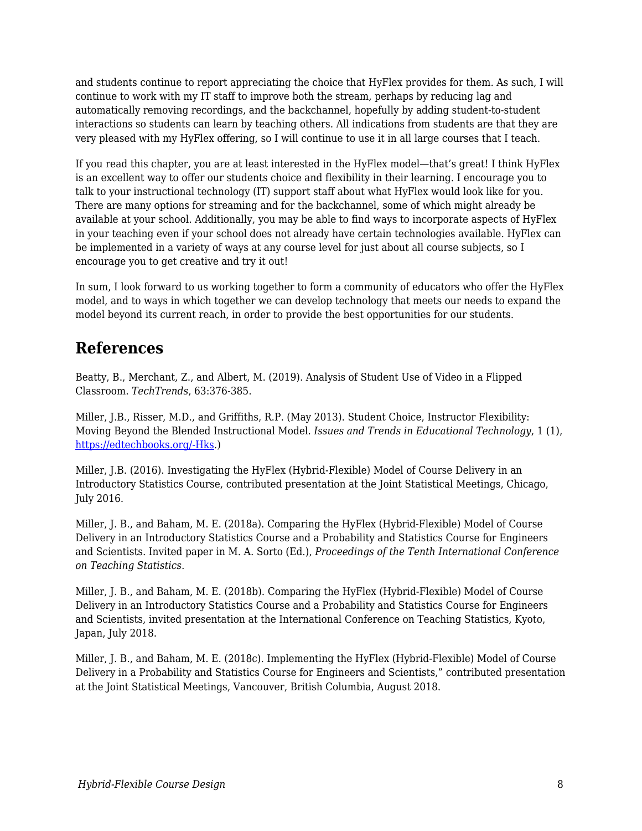and students continue to report appreciating the choice that HyFlex provides for them. As such, I will continue to work with my IT staff to improve both the stream, perhaps by reducing lag and automatically removing recordings, and the backchannel, hopefully by adding student-to-student interactions so students can learn by teaching others. All indications from students are that they are very pleased with my HyFlex offering, so I will continue to use it in all large courses that I teach.

If you read this chapter, you are at least interested in the HyFlex model—that's great! I think HyFlex is an excellent way to offer our students choice and flexibility in their learning. I encourage you to talk to your instructional technology (IT) support staff about what HyFlex would look like for you. There are many options for streaming and for the backchannel, some of which might already be available at your school. Additionally, you may be able to find ways to incorporate aspects of HyFlex in your teaching even if your school does not already have certain technologies available. HyFlex can be implemented in a variety of ways at any course level for just about all course subjects, so I encourage you to get creative and try it out!

In sum, I look forward to us working together to form a community of educators who offer the HyFlex model, and to ways in which together we can develop technology that meets our needs to expand the model beyond its current reach, in order to provide the best opportunities for our students.

### **References**

Beatty, B., Merchant, Z., and Albert, M. (2019). Analysis of Student Use of Video in a Flipped Classroom. *TechTrends*, 63:376-385.

Miller, J.B., Risser, M.D., and Griffiths, R.P. (May 2013). Student Choice, Instructor Flexibility: Moving Beyond the Blended Instructional Model. *Issues and Trends in Educational Technology*, 1 (1), [https://edtechbooks.org/-Hks](https://journals.uair.arizona.edu/index.php/itet/article/view/16464/16485).)

Miller, J.B. (2016). Investigating the HyFlex (Hybrid-Flexible) Model of Course Delivery in an Introductory Statistics Course, contributed presentation at the Joint Statistical Meetings, Chicago, July 2016.

Miller, J. B., and Baham, M. E. (2018a). Comparing the HyFlex (Hybrid-Flexible) Model of Course Delivery in an Introductory Statistics Course and a Probability and Statistics Course for Engineers and Scientists. Invited paper in M. A. Sorto (Ed.), *Proceedings of the Tenth International Conference on Teaching Statistics*.

Miller, J. B., and Baham, M. E. (2018b). Comparing the HyFlex (Hybrid-Flexible) Model of Course Delivery in an Introductory Statistics Course and a Probability and Statistics Course for Engineers and Scientists, invited presentation at the International Conference on Teaching Statistics, Kyoto, Japan, July 2018.

Miller, J. B., and Baham, M. E. (2018c). Implementing the HyFlex (Hybrid-Flexible) Model of Course Delivery in a Probability and Statistics Course for Engineers and Scientists," contributed presentation at the Joint Statistical Meetings, Vancouver, British Columbia, August 2018.